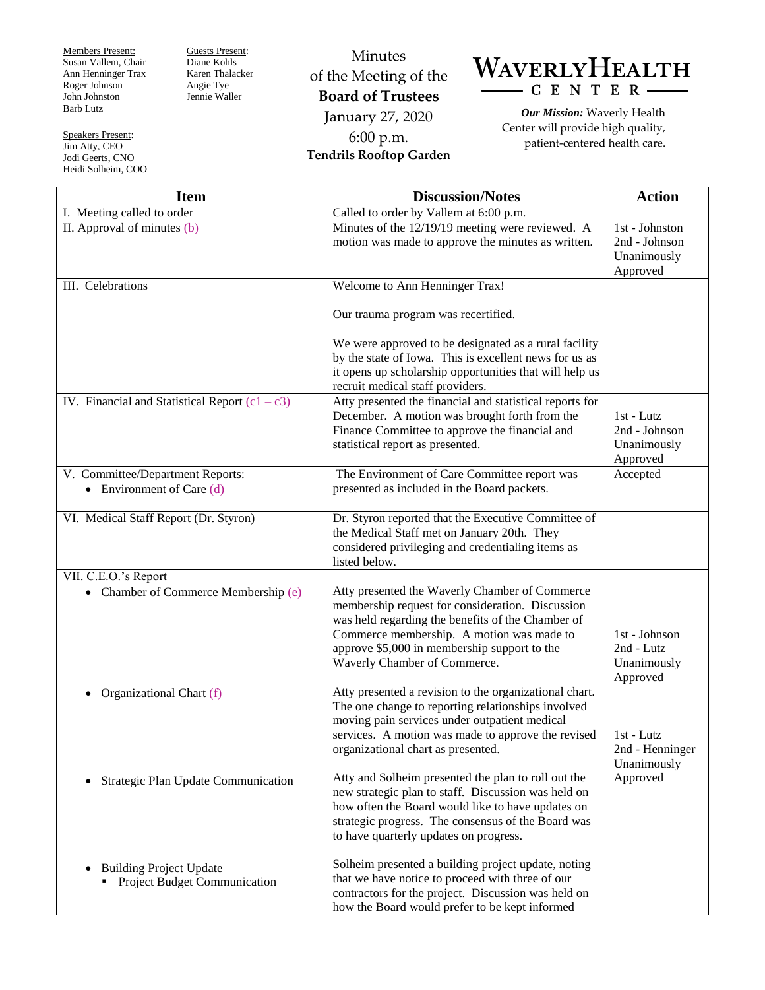Members Present: Susan Vallem, Chair Ann Henninger Trax Roger Johnson John Johnston Barb Lutz

Speakers Present: Jim Atty, CEO Jodi Geerts, CNO Heidi Solheim, COO Guests Present: Diane Kohls Karen Thalacker Angie Tye Jennie Waller

Minutes of the Meeting of the **Board of Trustees** January 27, 2020 6:00 p.m. **Tendrils Rooftop Garden**



*Our Mission:* Waverly Health Center will provide high quality, patient-centered health care.

| <b>Item</b>                                                                 | <b>Discussion/Notes</b>                                                                                                                                                                                                                                                              | <b>Action</b>                                                                                          |
|-----------------------------------------------------------------------------|--------------------------------------------------------------------------------------------------------------------------------------------------------------------------------------------------------------------------------------------------------------------------------------|--------------------------------------------------------------------------------------------------------|
| I. Meeting called to order                                                  | Called to order by Vallem at 6:00 p.m.                                                                                                                                                                                                                                               |                                                                                                        |
| II. Approval of minutes (b)                                                 | Minutes of the 12/19/19 meeting were reviewed. A<br>motion was made to approve the minutes as written.                                                                                                                                                                               | 1st - Johnston<br>2nd - Johnson<br>Unanimously<br>Approved                                             |
| III. Celebrations                                                           | Welcome to Ann Henninger Trax!                                                                                                                                                                                                                                                       |                                                                                                        |
|                                                                             | Our trauma program was recertified.                                                                                                                                                                                                                                                  |                                                                                                        |
|                                                                             | We were approved to be designated as a rural facility<br>by the state of Iowa. This is excellent news for us as<br>it opens up scholarship opportunities that will help us<br>recruit medical staff providers.                                                                       |                                                                                                        |
| IV. Financial and Statistical Report $(c1 - c3)$                            | Atty presented the financial and statistical reports for<br>December. A motion was brought forth from the<br>Finance Committee to approve the financial and<br>statistical report as presented.                                                                                      | $1st$ - Lutz<br>2nd - Johnson<br>Unanimously<br>Approved                                               |
| V. Committee/Department Reports:<br>• Environment of Care $(d)$             | The Environment of Care Committee report was<br>presented as included in the Board packets.                                                                                                                                                                                          | Accepted                                                                                               |
| VI. Medical Staff Report (Dr. Styron)                                       | Dr. Styron reported that the Executive Committee of<br>the Medical Staff met on January 20th. They<br>considered privileging and credentialing items as<br>listed below.                                                                                                             |                                                                                                        |
| VII. C.E.O.'s Report                                                        |                                                                                                                                                                                                                                                                                      |                                                                                                        |
| • Chamber of Commerce Membership (e)                                        | Atty presented the Waverly Chamber of Commerce<br>membership request for consideration. Discussion<br>was held regarding the benefits of the Chamber of<br>Commerce membership. A motion was made to<br>approve \$5,000 in membership support to the<br>Waverly Chamber of Commerce. | 1st - Johnson<br>2nd - Lutz<br>Unanimously<br>Approved<br>1st - Lutz<br>2nd - Henninger<br>Unanimously |
| Organizational Chart (f)                                                    | Atty presented a revision to the organizational chart.<br>The one change to reporting relationships involved<br>moving pain services under outpatient medical<br>services. A motion was made to approve the revised<br>organizational chart as presented.                            |                                                                                                        |
| Strategic Plan Update Communication<br>$\bullet$                            | Atty and Solheim presented the plan to roll out the<br>new strategic plan to staff. Discussion was held on<br>how often the Board would like to have updates on<br>strategic progress. The consensus of the Board was<br>to have quarterly updates on progress.                      | Approved                                                                                               |
| <b>Building Project Update</b><br>$\bullet$<br>Project Budget Communication | Solheim presented a building project update, noting<br>that we have notice to proceed with three of our<br>contractors for the project. Discussion was held on<br>how the Board would prefer to be kept informed                                                                     |                                                                                                        |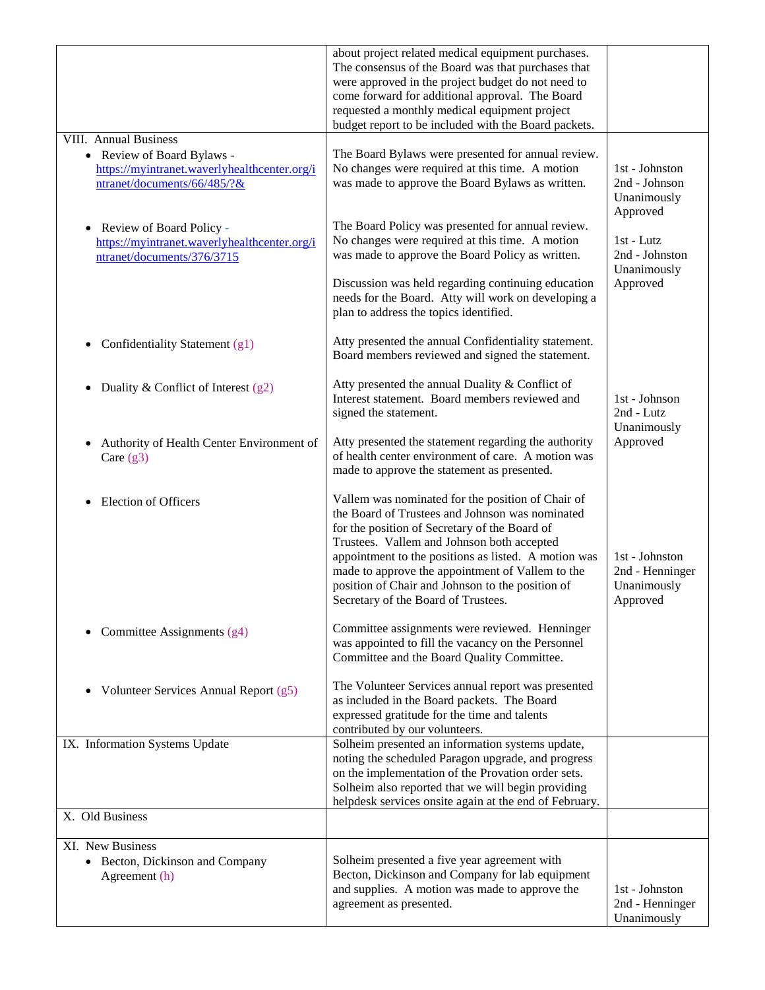|                                                                                                                     | about project related medical equipment purchases.<br>The consensus of the Board was that purchases that<br>were approved in the project budget do not need to<br>come forward for additional approval. The Board<br>requested a monthly medical equipment project<br>budget report to be included with the Board packets.                                                                                 |                                                              |
|---------------------------------------------------------------------------------------------------------------------|------------------------------------------------------------------------------------------------------------------------------------------------------------------------------------------------------------------------------------------------------------------------------------------------------------------------------------------------------------------------------------------------------------|--------------------------------------------------------------|
| <b>VIII.</b> Annual Business                                                                                        |                                                                                                                                                                                                                                                                                                                                                                                                            |                                                              |
| • Review of Board Bylaws -                                                                                          | The Board Bylaws were presented for annual review.                                                                                                                                                                                                                                                                                                                                                         |                                                              |
| https://myintranet.waverlyhealthcenter.org/i<br>ntranet/documents/66/485/?&                                         | No changes were required at this time. A motion<br>was made to approve the Board Bylaws as written.                                                                                                                                                                                                                                                                                                        | 1st - Johnston<br>2nd - Johnson<br>Unanimously<br>Approved   |
| Review of Board Policy -<br>$\bullet$<br>https://myintranet.waverlyhealthcenter.org/i<br>ntranet/documents/376/3715 | The Board Policy was presented for annual review.<br>No changes were required at this time. A motion<br>was made to approve the Board Policy as written.                                                                                                                                                                                                                                                   | 1st - Lutz<br>2nd - Johnston                                 |
|                                                                                                                     | Discussion was held regarding continuing education<br>needs for the Board. Atty will work on developing a<br>plan to address the topics identified.                                                                                                                                                                                                                                                        | Unanimously<br>Approved                                      |
| Confidentiality Statement (g1)<br>$\bullet$                                                                         | Atty presented the annual Confidentiality statement.<br>Board members reviewed and signed the statement.                                                                                                                                                                                                                                                                                                   |                                                              |
| Duality & Conflict of Interest $(g2)$                                                                               | Atty presented the annual Duality & Conflict of<br>Interest statement. Board members reviewed and<br>signed the statement.                                                                                                                                                                                                                                                                                 | 1st - Johnson<br>2nd - Lutz<br>Unanimously                   |
| Authority of Health Center Environment of<br>$\bullet$<br>Care $(g3)$                                               | Atty presented the statement regarding the authority<br>of health center environment of care. A motion was<br>made to approve the statement as presented.                                                                                                                                                                                                                                                  | Approved                                                     |
| Election of Officers<br>$\bullet$                                                                                   | Vallem was nominated for the position of Chair of<br>the Board of Trustees and Johnson was nominated<br>for the position of Secretary of the Board of<br>Trustees. Vallem and Johnson both accepted<br>appointment to the positions as listed. A motion was<br>made to approve the appointment of Vallem to the<br>position of Chair and Johnson to the position of<br>Secretary of the Board of Trustees. | 1st - Johnston<br>2nd - Henninger<br>Unanimously<br>Approved |
| Committee Assignments (g4)                                                                                          | Committee assignments were reviewed. Henninger<br>was appointed to fill the vacancy on the Personnel<br>Committee and the Board Quality Committee.                                                                                                                                                                                                                                                         |                                                              |
| Volunteer Services Annual Report (g5)<br>$\bullet$                                                                  | The Volunteer Services annual report was presented<br>as included in the Board packets. The Board<br>expressed gratitude for the time and talents<br>contributed by our volunteers.                                                                                                                                                                                                                        |                                                              |
| IX. Information Systems Update                                                                                      | Solheim presented an information systems update,<br>noting the scheduled Paragon upgrade, and progress<br>on the implementation of the Provation order sets.<br>Solheim also reported that we will begin providing<br>helpdesk services onsite again at the end of February.                                                                                                                               |                                                              |
| X. Old Business                                                                                                     |                                                                                                                                                                                                                                                                                                                                                                                                            |                                                              |
| XI. New Business<br>• Becton, Dickinson and Company                                                                 | Solheim presented a five year agreement with                                                                                                                                                                                                                                                                                                                                                               |                                                              |
| Agreement (h)                                                                                                       | Becton, Dickinson and Company for lab equipment<br>and supplies. A motion was made to approve the<br>agreement as presented.                                                                                                                                                                                                                                                                               | 1st - Johnston<br>2nd - Henninger<br>Unanimously             |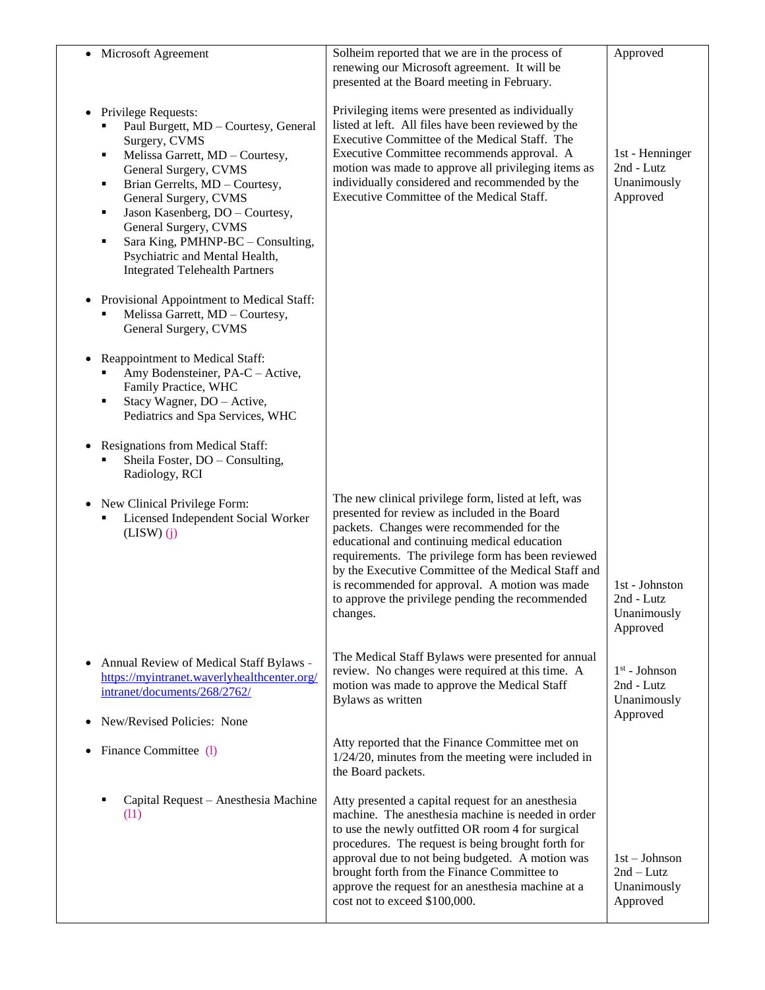| $\bullet$ | Microsoft Agreement                                                                                                                                                                                                                                                                                                                                                                                 | Solheim reported that we are in the process of<br>renewing our Microsoft agreement. It will be<br>presented at the Board meeting in February.                                                                                                                                                                                                                                                                                     | Approved                                                 |
|-----------|-----------------------------------------------------------------------------------------------------------------------------------------------------------------------------------------------------------------------------------------------------------------------------------------------------------------------------------------------------------------------------------------------------|-----------------------------------------------------------------------------------------------------------------------------------------------------------------------------------------------------------------------------------------------------------------------------------------------------------------------------------------------------------------------------------------------------------------------------------|----------------------------------------------------------|
| $\bullet$ | Privilege Requests:<br>Paul Burgett, MD - Courtesy, General<br>Surgery, CVMS<br>Melissa Garrett, MD - Courtesy,<br>٠<br>General Surgery, CVMS<br>Brian Gerrelts, MD - Courtesy,<br>٠<br>General Surgery, CVMS<br>Jason Kasenberg, DO - Courtesy,<br>٠<br>General Surgery, CVMS<br>Sara King, PMHNP-BC - Consulting,<br>Е<br>Psychiatric and Mental Health,<br><b>Integrated Telehealth Partners</b> | Privileging items were presented as individually<br>listed at left. All files have been reviewed by the<br>Executive Committee of the Medical Staff. The<br>Executive Committee recommends approval. A<br>motion was made to approve all privileging items as<br>individually considered and recommended by the<br>Executive Committee of the Medical Staff.                                                                      | 1st - Henninger<br>2nd - Lutz<br>Unanimously<br>Approved |
| $\bullet$ | Provisional Appointment to Medical Staff:<br>Melissa Garrett, MD - Courtesy,<br>General Surgery, CVMS                                                                                                                                                                                                                                                                                               |                                                                                                                                                                                                                                                                                                                                                                                                                                   |                                                          |
| $\bullet$ | Reappointment to Medical Staff:<br>Amy Bodensteiner, PA-C - Active,<br>Family Practice, WHC<br>Stacy Wagner, DO - Active,<br>٠<br>Pediatrics and Spa Services, WHC                                                                                                                                                                                                                                  |                                                                                                                                                                                                                                                                                                                                                                                                                                   |                                                          |
| $\bullet$ | <b>Resignations from Medical Staff:</b><br>Sheila Foster, DO - Consulting,<br>Radiology, RCI                                                                                                                                                                                                                                                                                                        |                                                                                                                                                                                                                                                                                                                                                                                                                                   |                                                          |
| $\bullet$ | New Clinical Privilege Form:<br>Licensed Independent Social Worker<br>$(LISW)$ $(i)$                                                                                                                                                                                                                                                                                                                | The new clinical privilege form, listed at left, was<br>presented for review as included in the Board<br>packets. Changes were recommended for the<br>educational and continuing medical education<br>requirements. The privilege form has been reviewed<br>by the Executive Committee of the Medical Staff and<br>is recommended for approval. A motion was made<br>to approve the privilege pending the recommended<br>changes. | 1st - Johnston<br>2nd - Lutz<br>Unanimously<br>Approved  |
| $\bullet$ | Annual Review of Medical Staff Bylaws -<br>https://myintranet.waverlyhealthcenter.org/<br>intranet/documents/268/2762/<br>New/Revised Policies: None                                                                                                                                                                                                                                                | The Medical Staff Bylaws were presented for annual<br>review. No changes were required at this time. A<br>motion was made to approve the Medical Staff<br>Bylaws as written                                                                                                                                                                                                                                                       | $1st$ - Johnson<br>2nd - Lutz<br>Unanimously<br>Approved |
|           | Finance Committee (1)                                                                                                                                                                                                                                                                                                                                                                               | Atty reported that the Finance Committee met on<br>$1/24/20$ , minutes from the meeting were included in<br>the Board packets.                                                                                                                                                                                                                                                                                                    |                                                          |
|           | Capital Request - Anesthesia Machine<br>(11)                                                                                                                                                                                                                                                                                                                                                        | Atty presented a capital request for an anesthesia<br>machine. The anesthesia machine is needed in order<br>to use the newly outfitted OR room 4 for surgical<br>procedures. The request is being brought forth for<br>approval due to not being budgeted. A motion was<br>brought forth from the Finance Committee to<br>approve the request for an anesthesia machine at a<br>cost not to exceed \$100,000.                     | $1st - Johnson$<br>$2nd-Lutz$<br>Unanimously<br>Approved |